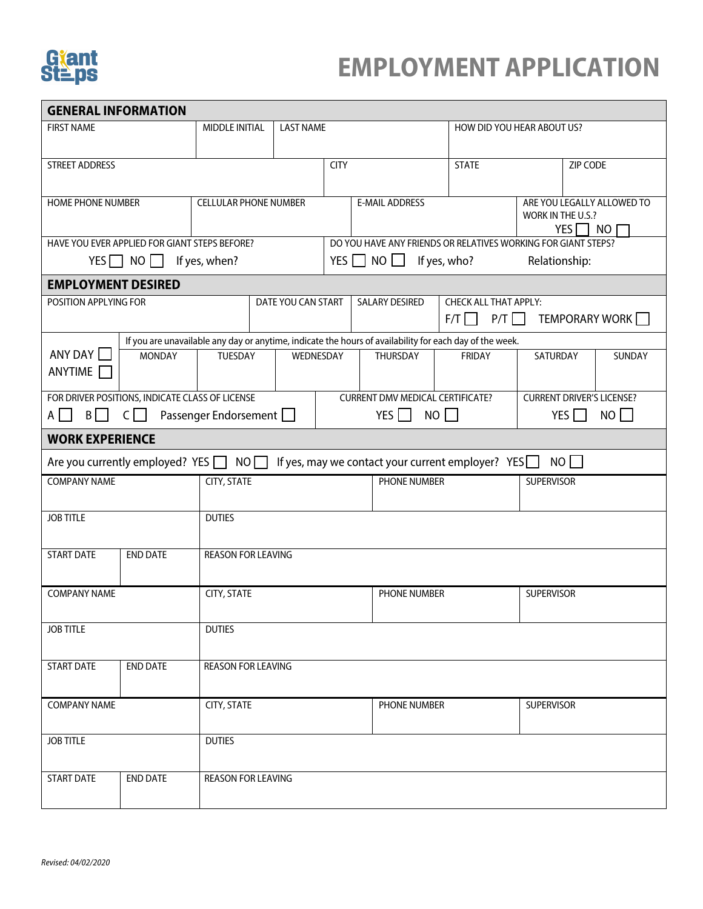

## **EMPLOYMENT APPLICATION**

| <b>GENERAL INFORMATION</b>                                                                              |                      |                                                  |                    |                                                       |                                                   |                                                                       |                                                                     |                   |  |  |  |  |
|---------------------------------------------------------------------------------------------------------|----------------------|--------------------------------------------------|--------------------|-------------------------------------------------------|---------------------------------------------------|-----------------------------------------------------------------------|---------------------------------------------------------------------|-------------------|--|--|--|--|
| <b>FIRST NAME</b>                                                                                       |                      | MIDDLE INITIAL                                   | <b>LAST NAME</b>   |                                                       |                                                   | HOW DID YOU HEAR ABOUT US?                                            |                                                                     |                   |  |  |  |  |
|                                                                                                         |                      |                                                  |                    |                                                       |                                                   |                                                                       |                                                                     |                   |  |  |  |  |
| <b>STREET ADDRESS</b>                                                                                   |                      |                                                  |                    | <b>CITY</b>                                           |                                                   | <b>STATE</b>                                                          |                                                                     | ZIP CODE          |  |  |  |  |
|                                                                                                         |                      |                                                  |                    |                                                       |                                                   |                                                                       |                                                                     |                   |  |  |  |  |
| <b>HOME PHONE NUMBER</b>                                                                                |                      | <b>CELLULAR PHONE NUMBER</b>                     |                    | <b>E-MAIL ADDRESS</b>                                 |                                                   |                                                                       | ARE YOU LEGALLY ALLOWED TO<br>WORK IN THE U.S.?<br><b>YES</b><br>NO |                   |  |  |  |  |
| HAVE YOU EVER APPLIED FOR GIANT STEPS BEFORE?                                                           |                      |                                                  |                    |                                                       |                                                   | DO YOU HAVE ANY FRIENDS OR RELATIVES WORKING FOR GIANT STEPS?         |                                                                     |                   |  |  |  |  |
|                                                                                                         | YES $\Box$ NO $\Box$ | If yes, when?                                    |                    | YES $\Box$ NO $\Box$<br>Relationship:<br>If yes, who? |                                                   |                                                                       |                                                                     |                   |  |  |  |  |
| <b>EMPLOYMENT DESIRED</b>                                                                               |                      |                                                  |                    |                                                       |                                                   |                                                                       |                                                                     |                   |  |  |  |  |
| POSITION APPLYING FOR                                                                                   |                      |                                                  | DATE YOU CAN START |                                                       | <b>SALARY DESIRED</b>                             | <b>CHECK ALL THAT APPLY:</b><br>P/T<br>TEMPORARY WORK<br>$F/T$ $\Box$ |                                                                     |                   |  |  |  |  |
| If you are unavailable any day or anytime, indicate the hours of availability for each day of the week. |                      |                                                  |                    |                                                       |                                                   |                                                                       |                                                                     |                   |  |  |  |  |
| ANY DAY<br><b>ANYTIME</b>                                                                               | <b>MONDAY</b>        | TUESDAY                                          | WEDNESDAY          |                                                       | THURSDAY                                          | <b>FRIDAY</b>                                                         | SATURDAY                                                            | SUNDAY            |  |  |  |  |
| FOR DRIVER POSITIONS, INDICATE CLASS OF LICENSE                                                         |                      |                                                  |                    |                                                       | <b>CURRENT DMV MEDICAL CERTIFICATE?</b>           |                                                                       | <b>CURRENT DRIVER'S LICENSE?</b>                                    |                   |  |  |  |  |
| $B \parallel \parallel$<br>$A \perp$                                                                    | $C \Box$             | Passenger Endorsement                            |                    |                                                       | YES $\Box$                                        | $NO$ $\Box$                                                           | $NO$ $\Box$<br>YES $\Box$                                           |                   |  |  |  |  |
| <b>WORK EXPERIENCE</b>                                                                                  |                      |                                                  |                    |                                                       |                                                   |                                                                       |                                                                     |                   |  |  |  |  |
|                                                                                                         |                      | Are you currently employed? YES $\Box$ NO $\Box$ |                    |                                                       | If yes, may we contact your current employer? YES |                                                                       | NO II                                                               |                   |  |  |  |  |
| <b>COMPANY NAME</b>                                                                                     |                      | CITY, STATE                                      |                    |                                                       | PHONE NUMBER                                      |                                                                       | <b>SUPERVISOR</b>                                                   |                   |  |  |  |  |
| <b>JOB TITLE</b>                                                                                        |                      | <b>DUTIES</b>                                    |                    |                                                       |                                                   |                                                                       |                                                                     |                   |  |  |  |  |
| <b>START DATE</b>                                                                                       | <b>END DATE</b>      | <b>REASON FOR LEAVING</b>                        |                    |                                                       |                                                   |                                                                       |                                                                     |                   |  |  |  |  |
| <b>COMPANY NAME</b>                                                                                     |                      | CITY, STATE                                      |                    |                                                       |                                                   | PHONE NUMBER                                                          |                                                                     | <b>SUPERVISOR</b> |  |  |  |  |
| <b>JOB TITLE</b>                                                                                        |                      | <b>DUTIES</b>                                    |                    |                                                       |                                                   |                                                                       |                                                                     |                   |  |  |  |  |
| <b>START DATE</b>                                                                                       | <b>END DATE</b>      | <b>REASON FOR LEAVING</b>                        |                    |                                                       |                                                   |                                                                       |                                                                     |                   |  |  |  |  |
| <b>COMPANY NAME</b>                                                                                     |                      | CITY, STATE                                      |                    |                                                       | PHONE NUMBER                                      |                                                                       | SUPERVISOR                                                          |                   |  |  |  |  |
| <b>JOB TITLE</b>                                                                                        |                      | <b>DUTIES</b>                                    |                    |                                                       |                                                   |                                                                       |                                                                     |                   |  |  |  |  |
| <b>START DATE</b>                                                                                       | <b>END DATE</b>      | <b>REASON FOR LEAVING</b>                        |                    |                                                       |                                                   |                                                                       |                                                                     |                   |  |  |  |  |